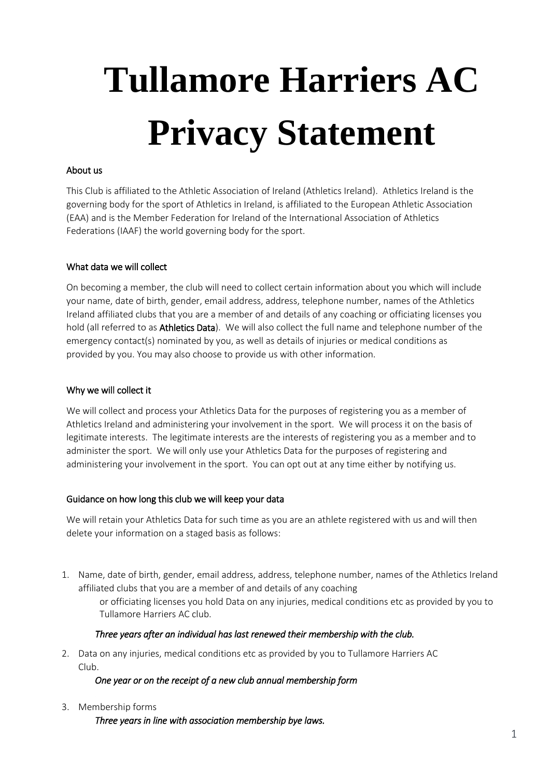# **Tullamore Harriers AC Privacy Statement**

### About us

This Club is affiliated to the Athletic Association of Ireland (Athletics Ireland). Athletics Ireland is the governing body for the sport of Athletics in Ireland, is affiliated to the European Athletic Association (EAA) and is the Member Federation for Ireland of the International Association of Athletics Federations (IAAF) the world governing body for the sport.

#### What data we will collect

On becoming a member, the club will need to collect certain information about you which will include your name, date of birth, gender, email address, address, telephone number, names of the Athletics Ireland affiliated clubs that you are a member of and details of any coaching or officiating licenses you hold (all referred to as Athletics Data). We will also collect the full name and telephone number of the emergency contact(s) nominated by you, as well as details of injuries or medical conditions as provided by you. You may also choose to provide us with other information.

#### Why we will collect it

We will collect and process your Athletics Data for the purposes of registering you as a member of Athletics Ireland and administering your involvement in the sport. We will process it on the basis of legitimate interests. The legitimate interests are the interests of registering you as a member and to administer the sport. We will only use your Athletics Data for the purposes of registering and administering your involvement in the sport. You can opt out at any time either by notifying us.

#### Guidance on how long this club we will keep your data

We will retain your Athletics Data for such time as you are an athlete registered with us and will then delete your information on a staged basis as follows:

1. Name, date of birth, gender, email address, address, telephone number, names of the Athletics Ireland affiliated clubs that you are a member of and details of any coaching

or officiating licenses you hold Data on any injuries, medical conditions etc as provided by you to Tullamore Harriers AC club.

#### *Three years after an individual has last renewed their membership with the club.*

2. Data on any injuries, medical conditions etc as provided by you to Tullamore Harriers AC Club.

#### *One year or on the receipt of a new club annual membership form*

3. Membership forms

*Three years in line with association membership bye laws.*